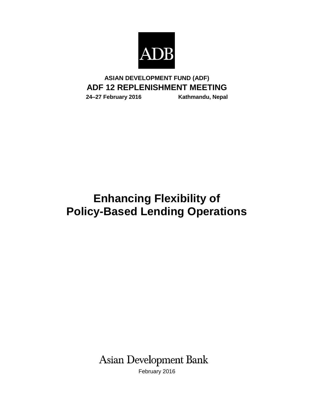

# **ASIAN DEVELOPMENT FUND (ADF) ADF 12 REPLENISHMENT MEETING**

**24‒27 February 2016 Kathmandu, Nepal**

# **Enhancing Flexibility of Policy-Based Lending Operations**

**Asian Development Bank** 

February 2016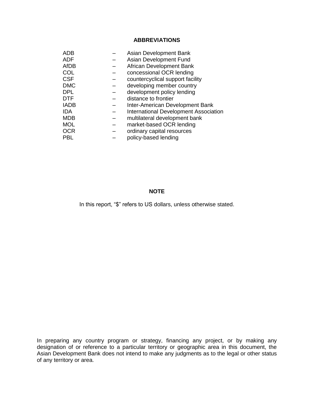# **ABBREVIATIONS**

| ADB         | Asian Development Bank                       |
|-------------|----------------------------------------------|
| <b>ADF</b>  | Asian Development Fund                       |
| AfDB        | African Development Bank                     |
| COL         | concessional OCR lending                     |
| <b>CSF</b>  | countercyclical support facility             |
| <b>DMC</b>  | developing member country                    |
| <b>DPL</b>  | development policy lending                   |
| DTF         | distance to frontier                         |
| <b>IADB</b> | Inter-American Development Bank              |
| IDA         | <b>International Development Association</b> |
| MDB         | multilateral development bank                |
| <b>MOL</b>  | market-based OCR lending                     |
| OCR         | ordinary capital resources                   |
| PBL         | policy-based lending                         |
|             |                                              |

#### **NOTE**

In this report, "\$" refers to US dollars, unless otherwise stated.

In preparing any country program or strategy, financing any project, or by making any designation of or reference to a particular territory or geographic area in this document, the Asian Development Bank does not intend to make any judgments as to the legal or other status of any territory or area.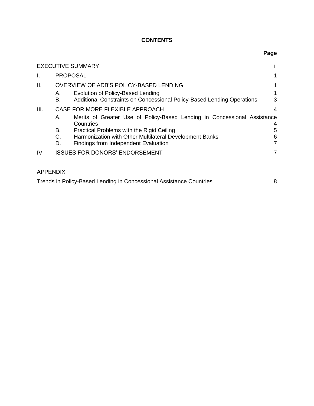# **CONTENTS**

|      |                 | <b>EXECUTIVE SUMMARY</b>                                                                                    |                |  |
|------|-----------------|-------------------------------------------------------------------------------------------------------------|----------------|--|
| I.   | <b>PROPOSAL</b> |                                                                                                             |                |  |
| ΙΙ.  |                 | OVERVIEW OF ADB'S POLICY-BASED LENDING                                                                      |                |  |
|      | А.<br>В.        | Evolution of Policy-Based Lending<br>Additional Constraints on Concessional Policy-Based Lending Operations | 3              |  |
| III. |                 | CASE FOR MORE FLEXIBLE APPROACH                                                                             | 4              |  |
|      | А.              | Merits of Greater Use of Policy-Based Lending in Concessional Assistance<br>Countries                       | 4              |  |
|      | В.              | Practical Problems with the Rigid Ceiling                                                                   | 5              |  |
|      | C.              | Harmonization with Other Multilateral Development Banks                                                     | 6              |  |
|      | D.              | Findings from Independent Evaluation                                                                        | 7              |  |
| IV.  |                 | <b>ISSUES FOR DONORS' ENDORSEMENT</b>                                                                       | $\overline{7}$ |  |
|      |                 |                                                                                                             |                |  |

| Trends in Policy-Based Lending in Concessional Assistance Countries |  |
|---------------------------------------------------------------------|--|
|---------------------------------------------------------------------|--|

**Page**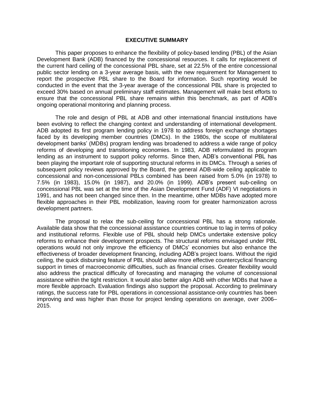#### **EXECUTIVE SUMMARY**

This paper proposes to enhance the flexibility of policy-based lending (PBL) of the Asian Development Bank (ADB) financed by the concessional resources. It calls for replacement of the current hard ceiling of the concessional PBL share, set at 22.5% of the entire concessional public sector lending on a 3-year average basis, with the new requirement for Management to report the prospective PBL share to the Board for information. Such reporting would be conducted in the event that the 3-year average of the concessional PBL share is projected to exceed 30% based on annual preliminary staff estimates. Management will make best efforts to ensure that the concessional PBL share remains within this benchmark, as part of ADB's ongoing operational monitoring and planning process.

The role and design of PBL at ADB and other international financial institutions have been evolving to reflect the changing context and understanding of international development. ADB adopted its first program lending policy in 1978 to address foreign exchange shortages faced by its developing member countries (DMCs). In the 1980s, the scope of multilateral development banks' (MDBs) program lending was broadened to address a wide range of policy reforms of developing and transitioning economies. In 1983, ADB reformulated its program lending as an instrument to support policy reforms. Since then, ADB's conventional PBL has been playing the important role of supporting structural reforms in its DMCs. Through a series of subsequent policy reviews approved by the Board, the general ADB-wide ceiling applicable to concessional and non-concessional PBLs combined has been raised from 5.0% (in 1978) to 7.5% (in 1983), 15.0% (in 1987), and 20.0% (in 1999). ADB's present sub-ceiling on concessional PBL was set at the time of the Asian Development Fund (ADF) VI negotiations in 1991, and has not been changed since then. In the meantime, other MDBs have adopted more flexible approaches in their PBL mobilization, leaving room for greater harmonization across development partners.

The proposal to relax the sub-ceiling for concessional PBL has a strong rationale. Available data show that the concessional assistance countries continue to lag in terms of policy and institutional reforms. Flexible use of PBL should help DMCs undertake extensive policy reforms to enhance their development prospects. The structural reforms envisaged under PBL operations would not only improve the efficiency of DMCs' economies but also enhance the effectiveness of broader development financing, including ADB's project loans. Without the rigid ceiling, the quick disbursing feature of PBL should allow more effective countercyclical financing support in times of macroeconomic difficulties, such as financial crises. Greater flexibility would also address the practical difficulty of forecasting and managing the volume of concessional assistance within the tight restriction. It would also better align ADB with other MDBs that have a more flexible approach. Evaluation findings also support the proposal. According to preliminary ratings, the success rate for PBL operations in concessional assistance-only countries has been improving and was higher than those for project lending operations on average, over 2006– 2015.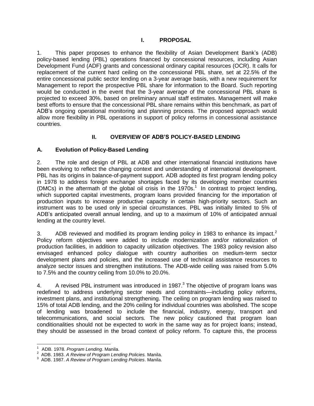# **I. PROPOSAL**

<span id="page-4-0"></span>1. This paper proposes to enhance the flexibility of Asian Development Bank's (ADB) policy-based lending (PBL) operations financed by concessional resources, including Asian Development Fund (ADF) grants and concessional ordinary capital resources (OCR). It calls for replacement of the current hard ceiling on the concessional PBL share, set at 22.5% of the entire concessional public sector lending on a 3-year average basis, with a new requirement for Management to report the prospective PBL share for information to the Board. Such reporting would be conducted in the event that the 3-year average of the concessional PBL share is projected to exceed 30%, based on preliminary annual staff estimates. Management will make best efforts to ensure that the concessional PBL share remains within this benchmark, as part of ADB's ongoing operational monitoring and planning process. The proposed approach would allow more flexibility in PBL operations in support of policy reforms in concessional assistance countries.

# **II. OVERVIEW OF ADB'S POLICY-BASED LENDING**

# <span id="page-4-2"></span><span id="page-4-1"></span>**A. Evolution of Policy-Based Lending**

2. The role and design of PBL at ADB and other international financial institutions have been evolving to reflect the changing context and understanding of international development. PBL has its origins in balance-of-payment support. ADB adopted its first program lending policy in 1978 to address foreign exchange shortages faced by its developing member countries (DMCs) in the aftermath of the global oil crisis in the 1970s. 1 In contrast to project lending, which supported capital investments, program loans provided financing for the importation of production inputs to increase productive capacity in certain high-priority sectors. Such an instrument was to be used only in special circumstances. PBL was initially limited to 5% of ADB's anticipated overall annual lending, and up to a maximum of 10% of anticipated annual lending at the country level.

3. ADB reviewed and modified its program lending policy in 1983 to enhance its impact.<sup>2</sup> Policy reform objectives were added to include modernization and/or rationalization of production facilities, in addition to capacity utilization objectives. The 1983 policy revision also envisaged enhanced policy dialogue with country authorities on medium-term sector development plans and policies, and the increased use of technical assistance resources to analyze sector issues and strengthen institutions. The ADB-wide ceiling was raised from 5.0% to 7.5% and the country ceiling from 10.0% to 20.0%.

4. A revised PBL instrument was introduced in 1987.<sup>3</sup> The objective of program loans was redefined to address underlying sector needs and constraints—including policy reforms, investment plans, and institutional strengthening. The ceiling on program lending was raised to 15% of total ADB lending, and the 20% ceiling for individual countries was abolished. The scope of lending was broadened to include the financial, industry, energy, transport and telecommunications, and social sectors. The new policy cautioned that program loan conditionalities should not be expected to work in the same way as for project loans; instead, they should be assessed in the broad context of policy reform. To capture this, the process

<sup>1</sup> ADB. 1978. *Program Lending*. Manila.

<sup>2</sup> ADB. 1983. *A Review of Program Lending Policies.* Manila.

<sup>3</sup> ADB. 1987. *A Review of Program Lending Policies*. Manila.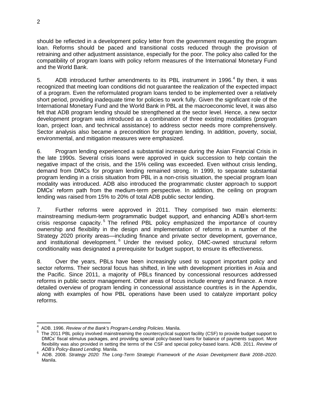should be reflected in a development policy letter from the government requesting the program loan. Reforms should be paced and transitional costs reduced through the provision of retraining and other adjustment assistance, especially for the poor. The policy also called for the compatibility of program loans with policy reform measures of the International Monetary Fund and the World Bank.

5. ADB introduced further amendments to its PBL instrument in 1996. $4$  By then, it was recognized that meeting loan conditions did not guarantee the realization of the expected impact of a program. Even the reformulated program loans tended to be implemented over a relatively short period, providing inadequate time for policies to work fully. Given the significant role of the International Monetary Fund and the World Bank in PBL at the macroeconomic level, it was also felt that ADB program lending should be strengthened at the sector level. Hence, a new sector development program was introduced as a combination of three existing modalities (program loan, project loan, and technical assistance) to address sector needs more comprehensively. Sector analysis also became a precondition for program lending. In addition, poverty, social, environmental, and mitigation measures were emphasized.

6. Program lending experienced a substantial increase during the Asian Financial Crisis in the late 1990s. Several crisis loans were approved in quick succession to help contain the negative impact of the crisis, and the 15% ceiling was exceeded. Even without crisis lending, demand from DMCs for program lending remained strong. In 1999, to separate substantial program lending in a crisis situation from PBL in a non-crisis situation, the special program loan modality was introduced. ADB also introduced the programmatic cluster approach to support DMCs' reform path from the medium-term perspective. In addition, the ceiling on program lending was raised from 15% to 20% of total ADB public sector lending.

7. Further reforms were approved in 2011. They comprised two main elements: mainstreaming medium-term programmatic budget support, and enhancing ADB's short-term crisis response capacity.<sup>5</sup> The refined PBL policy emphasized the importance of country ownership and flexibility in the design and implementation of reforms in a number of the Strategy 2020 priority areas—including finance and private sector development, governance, and institutional development.<sup>6</sup> Under the revised policy, DMC-owned structural reform conditionality was designated a prerequisite for budget support, to ensure its effectiveness.

8. Over the years, PBLs have been increasingly used to support important policy and sector reforms. Their sectoral focus has shifted, in line with development priorities in Asia and the Pacific. Since 2011, a majority of PBLs financed by concessional resources addressed reforms in public sector management. Other areas of focus include energy and finance. A more detailed overview of program lending in concessional assistance countries is in the Appendix, along with examples of how PBL operations have been used to catalyze important policy reforms.

 $\overline{a}$ 

<sup>4</sup> ADB. 1996. *Review of the Bank's Program-Lending Policies*. Manila.

<sup>5</sup> The 2011 PBL policy involved mainstreaming the countercyclical support facility (CSF) to provide budget support to DMCs' fiscal stimulus packages, and providing special policy-based loans for balance of payments support. More flexibility was also provided in setting the terms of the CSF and special policy-based loans. ADB. 2011. *Review of ADB's Policy-Based Lending.* Manila.

<sup>6</sup> ADB. 2008. *Strategy 2020: The Long-Term Strategic Framework of the Asian Development Bank 2008–2020*. Manila.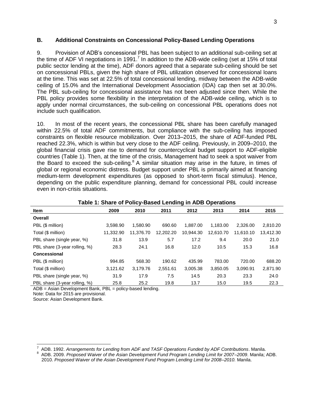#### <span id="page-6-0"></span>**B. Additional Constraints on Concessional Policy-Based Lending Operations**

9. Provision of ADB's concessional PBL has been subject to an additional sub-ceiling set at the time of ADF VI negotiations in 1991.<sup>7</sup> In addition to the ADB-wide ceiling (set at 15% of total public sector lending at the time), ADF donors agreed that a separate sub-ceiling should be set on concessional PBLs, given the high share of PBL utilization observed for concessional loans at the time. This was set at 22.5% of total concessional lending, midway between the ADB-wide ceiling of 15.0% and the International Development Association (IDA) cap then set at 30.0%. The PBL sub-ceiling for concessional assistance has not been adjusted since then. While the PBL policy provides some flexibility in the interpretation of the ADB-wide ceiling, which is to apply under normal circumstances, the sub-ceiling on concessional PBL operations does not include such qualification.

10. In most of the recent years, the concessional PBL share has been carefully managed within 22.5% of total ADF commitments, but compliance with the sub-ceiling has imposed constraints on flexible resource mobilization. Over 2013–2015, the share of ADF-funded PBL reached 22.3%, which is within but very close to the ADF ceiling. Previously, in 2009–2010, the global financial crisis gave rise to demand for countercyclical budget support to ADF-eligible countries (Table 1). Then, at the time of the crisis, Management had to seek a spot waiver from the Board to exceed the sub-ceiling.<sup>8</sup> A similar situation may arise in the future, in times of global or regional economic distress. Budget support under PBL is primarily aimed at financing medium-term development expenditures (as opposed to short-term fiscal stimulus). Hence, depending on the public expenditure planning, demand for concessional PBL could increase even in non-crisis situations.

| <b>Item</b>                   | 2009      | 2010      | 2011      | 2012      | 2013      | 2014      | 2015      |
|-------------------------------|-----------|-----------|-----------|-----------|-----------|-----------|-----------|
| Overall                       |           |           |           |           |           |           |           |
| PBL (\$ million)              | 3,598.90  | 1,580.90  | 690.60    | 1.887.00  | 1,183.00  | 2.326.00  | 2,810.20  |
| Total (\$ million)            | 11,332.90 | 11,376.70 | 12,202.20 | 10,944.30 | 12,610.70 | 11,610.10 | 13,412.30 |
| PBL share (single year, %)    | 31.8      | 13.9      | 5.7       | 17.2      | 9.4       | 20.0      | 21.0      |
| PBL share (3-year rolling, %) | 28.3      | 24.1      | 16.8      | 12.0      | 10.5      | 15.3      | 16.8      |
| Concessional                  |           |           |           |           |           |           |           |
| PBL (\$ million)              | 994.85    | 568.30    | 190.62    | 435.99    | 783.00    | 720.00    | 688.20    |
| Total (\$ million)            | 3,121.62  | 3,179.76  | 2,551.61  | 3,005.38  | 3,850.05  | 3,090.91  | 2,871.90  |
| PBL share (single year, %)    | 31.9      | 17.9      | 7.5       | 14.5      | 20.3      | 23.3      | 24.0      |
| PBL share (3-year rolling, %) | 25.8      | 25.2      | 19.8      | 13.7      | 15.0      | 19.5      | 22.3      |

#### **Table 1: Share of Policy-Based Lending in ADB Operations**

ADB = Asian Development Bank, PBL = policy-based lending.

Note: Data for 2015 are provisional.

Source: Asian Development Bank.

8 ADB. 2009. *Proposed Waiver of the Asian Development Fund Program Lending Limit for 2007–2009*. Manila; ADB. 2010. *Proposed Waiver of the Asian Development Fund Program Lending Limit for 2008–2010.* Manila.

<sup>7</sup> ADB. 1992. *Arrangements for Lending from ADF and TASF Operations Funded by ADF Contributions*. Manila.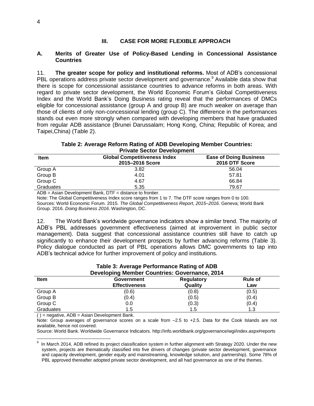# **III. CASE FOR MORE FLEXIBLE APPROACH**

#### <span id="page-7-1"></span><span id="page-7-0"></span>**A. Merits of Greater Use of Policy-Based Lending in Concessional Assistance Countries**

11. **The greater scope for policy and institutional reforms.** Most of ADB's concessional PBL operations address private sector development and governance.<sup>9</sup> Available data show that there is scope for concessional assistance countries to advance reforms in both areas. With regard to private sector development, the World Economic Forum's Global Competitiveness Index and the World Bank's Doing Business rating reveal that the performances of DMCs eligible for concessional assistance (group A and group B) are much weaker on average than those of clients of only non-concessional lending (group C). The difference in the performances stands out even more strongly when compared with developing members that have graduated from regular ADB assistance (Brunei Darussalam; Hong Kong, China; Republic of Korea; and Taipei,China) (Table 2).

#### **Table 2: Average Reform Rating of ADB Developing Member Countries: Private Sector Development**

| <b>Item</b> | <b>Global Competitiveness Index</b><br>2015-2016 Score | <b>Ease of Doing Business</b><br>2016 DTF Score |  |  |
|-------------|--------------------------------------------------------|-------------------------------------------------|--|--|
| Group A     | 3.82                                                   | 56.04                                           |  |  |
| Group B     | 4.01                                                   | 57.81                                           |  |  |
| Group C     | 4.67                                                   | 66.84                                           |  |  |
| Graduates   | 5.35                                                   | 79.67                                           |  |  |
|             |                                                        |                                                 |  |  |

ADB = Asian Development Bank, DTF = distance to frontier.

Note: The Global Competitiveness Index score ranges from 1 to 7. The DTF score ranges from 0 to 100. Sources: World Economic Forum. 2015. *The Global Competitiveness Report, 2015–2016.* Geneva; World Bank Group. 2016. *Doing Business 2016*. Washington, DC.

12. The World Bank's worldwide governance indicators show a similar trend. The majority of ADB's PBL addresses government effectiveness (aimed at improvement in public sector management). Data suggest that concessional assistance countries still have to catch up significantly to enhance their development prospects by further advancing reforms (Table 3). Policy dialogue conducted as part of PBL operations allows DMC governments to tap into ADB's technical advice for further improvement of policy and institutions.

| <b>Developing Member Countries: Governance, 2014</b> |                                           |                              |                       |  |
|------------------------------------------------------|-------------------------------------------|------------------------------|-----------------------|--|
| <b>Item</b>                                          | <b>Government</b><br><b>Effectiveness</b> | <b>Regulatory</b><br>Quality | <b>Rule of</b><br>Law |  |
| Group A                                              | (0.6)                                     | (0.8)                        | (0.5)                 |  |
| Group B                                              | (0.4)                                     | (0.5)                        | (0.4)                 |  |
| Group C                                              | 0.0                                       | (0.3)                        | (0.4)                 |  |
| Graduates                                            | 1.5                                       | 1.5                          | 1.3                   |  |

#### **Table 3: Average Performance Rating of ADB Developing Member Countries: Governance, 2014**

( ) = negative, ADB = Asian Development Bank.

Note: Group averages of governance scores on a scale from  $-2.5$  to +2.5. Data for the Cook Islands are not available, hence not covered.

Source: World Bank. Worldwide Governance Indicators. <http://info.worldbank.org/governance/wgi/index.aspx#reports>

 9 In March 2014, ADB refined its project classification system in further alignment with Strategy 2020. Under the new system, projects are thematically classified into five drivers of changes (private sector development, governance and capacity development, gender equity and mainstreaming, knowledge solution, and partnership). Some 78% of PBL approved thereafter adopted private sector development, and all had governance as one of the themes.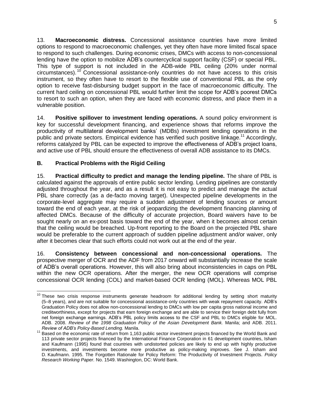13. **Macroeconomic distress.** Concessional assistance countries have more limited options to respond to macroeconomic challenges, yet they often have more limited fiscal space to respond to such challenges. During economic crises, DMCs with access to non-concessional lending have the option to mobilize ADB's countercyclical support facility (CSF) or special PBL. This type of support is not included in the ADB-wide PBL ceiling (20% under normal circumstances).  $10$  Concessional assistance-only countries do not have access to this crisis instrument, so they often have to resort to the flexible use of conventional PBL as the only option to receive fast-disbursing budget support in the face of macroeconomic difficulty. The current hard ceiling on concessional PBL would further limit the scope for ADB's poorest DMCs to resort to such an option, when they are faced with economic distress, and place them in a vulnerable position.

14. **Positive spillover to investment lending operations.** A sound policy environment is key for successful development financing, and experience shows that reforms improve the productivity of multilateral development banks' (MDBs) investment lending operations in the public and private sectors. Empirical evidence has verified such positive linkage. <sup>11</sup> Accordingly, reforms catalyzed by PBL can be expected to improve the effectiveness of ADB's project loans, and active use of PBL should ensure the effectiveness of overall ADB assistance to its DMCs.

# <span id="page-8-0"></span>**B. Practical Problems with the Rigid Ceiling**

15. **Practical difficulty to predict and manage the lending pipeline.** The share of PBL is calculated against the approvals of entire public sector lending. Lending pipelines are constantly adjusted throughout the year, and as a result it is not easy to predict and manage the actual PBL share correctly (as a de-facto moving target). Unexpected pipeline developments in the corporate-level aggregate may require a sudden adjustment of lending sources or amount toward the end of each year, at the risk of jeopardizing the development financing planning of affected DMCs. Because of the difficulty of accurate projection, Board waivers have to be sought nearly on an ex-post basis toward the end of the year, when it becomes almost certain that the ceiling would be breached. Up-front reporting to the Board on the projected PBL share would be preferable to the current approach of sudden pipeline adjustment and/or waiver, only after it becomes clear that such efforts could not work out at the end of the year.

16. **Consistency between concessional and non-concessional operations.** The prospective merger of OCR and the ADF from 2017 onward will substantially increase the scale of ADB's overall operations. However, this will also bring about inconsistencies in caps on PBL within the new OCR operations. After the merger, the new OCR operations will comprise concessional OCR lending (COL) and market-based OCR lending (MOL). Whereas MOL PBL

  $10$  These two crisis response instruments generate headroom for additional lending by setting short maturity (5–8 years), and are not suitable for concessional assistance-only countries with weak repayment capacity. ADB's Graduation Policy does not allow non-concessional lending to DMCs with low per capita gross national income and creditworthiness, except for projects that earn foreign exchange and are able to service their foreign debt fully from net foreign exchange earnings. ADB's PBL policy limits access to the CSF and PBL to DMCs eligible for MOL. ADB. 2008. *Review of the 1998 Graduation Policy of the Asian Development Bank.* Manila; and ADB. 2011. *Review of ADB's Policy-Based Lending.* Manila.

<sup>&</sup>lt;sup>11</sup> Based on the economic rate of return from 1,163 public sector investment projects financed by the World Bank and 113 private sector projects financed by the International Finance Corporation in 61 development countries, Isham and Kaufmann (1995) found that countries with undistorted policies are likely to end up with highly productive investments, and investments become more productive as policy-making improves. See J. Isham and D. Kaufmann. 1995. The Forgotten Rationale for Policy Reform: The Productivity of Investment Projects. *Policy Research Working Paper.* No. 1549. Washington, DC: World Bank.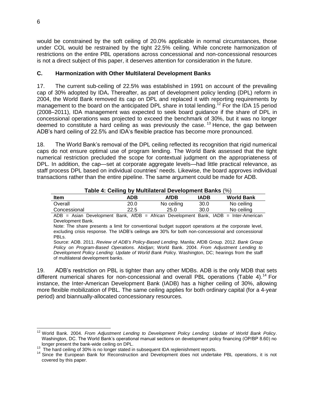would be constrained by the soft ceiling of 20.0% applicable in normal circumstances, those under COL would be restrained by the tight 22.5% ceiling. While concrete harmonization of restrictions on the entire PBL operations across concessional and non-concessional resources is not a direct subject of this paper, it deserves attention for consideration in the future.

# <span id="page-9-0"></span>**C. Harmonization with Other Multilateral Development Banks**

17. The current sub-ceiling of 22.5% was established in 1991 on account of the prevailing cap of 30% adopted by IDA**.** Thereafter, as part of development policy lending (DPL) reform in 2004, the World Bank removed its cap on DPL and replaced it with reporting requirements by management to the board on the anticipated DPL share in total lending.<sup>12</sup> For the IDA 15 period (2008–2011), IDA management was expected to seek board guidance if the share of DPL in concessional operations was projected to exceed the benchmark of 30%, but it was no longer deemed to constitute a hard ceiling as was previously the case.<sup>13</sup> Hence, the gap between ADB's hard ceiling of 22.5% and IDA's flexible practice has become more pronounced.

18. The World Bank's removal of the DPL ceiling reflected its recognition that rigid numerical caps do not ensure optimal use of program lending. The World Bank assessed that the tight numerical restriction precluded the scope for contextual judgment on the appropriateness of DPL. In addition, the cap—set at corporate aggregate levels—had little practical relevance, as staff process DPL based on individual countries' needs. Likewise, the board approves individual transactions rather than the entire pipeline. The same argument could be made for ADB.

#### **Table 4: Ceiling by Multilateral Development Banks** (%)

| $1.441$ $\bullet$ $1.41$ $\bullet$ $1.41$ $\bullet$ $1.41$ $\bullet$ $1.41$ $\bullet$ $1.41$ $\bullet$ $1.41$ $\bullet$ $1.41$ $\bullet$ $1.41$ |      |             |      |                   |
|-------------------------------------------------------------------------------------------------------------------------------------------------|------|-------------|------|-------------------|
| <b>Item</b>                                                                                                                                     | ADB  | <b>AfDB</b> | IADB | <b>World Bank</b> |
| Overall                                                                                                                                         | 20.0 | No ceiling  | 30.0 | No ceiling        |
| Concessional                                                                                                                                    | 22.5 | 25.0        | 30.0 | No ceiling        |

ADB = Asian Development Bank, AfDB = African Development Bank, IADB = Inter-American Development Bank.

Note: The share presents a limit for conventional budget support operations at the corporate level, excluding crisis response. The IADB's ceilings are 30% for both non-concessional and concessional PBLs.

Source: ADB. 2011. *Review of ADB's Policy-Based Lending*. Manila; AfDB Group. 2012. *Bank Group Policy on Program-Based Operations.* Abidjan; World Bank. 2004. *From Adjustment Lending to Development Policy Lending: Update of World Bank Polic*y. Washington, DC; hearings from the staff of multilateral development banks.

19. ADB's restriction on PBL is tighter than any other MDBs. ADB is the only MDB that sets different numerical shares for non-concessional and overall PBL operations (Table 4).<sup>14</sup> For instance, the Inter-American Development Bank (IADB) has a higher ceiling of 30%, allowing more flexible mobilization of PBL. The same ceiling applies for both ordinary capital (for a 4-year period) and biannually-allocated concessionary resources.

 $\overline{a}$ <sup>12</sup> World Bank. 2004. *From Adjustment Lending to Development Policy Lending: Update of World Bank Policy*. Washington, DC. The World Bank's operational manual sections on development policy financing (OP/BP 8.60) no longer present the bank-wide ceiling on DPL.

<sup>&</sup>lt;sup>13</sup> The hard ceiling of 30% is no longer stated in subsequent IDA replenishment reports.

<sup>&</sup>lt;sup>14</sup> Since the European Bank for Reconstruction and Development does not undertake PBL operations, it is not covered by this paper.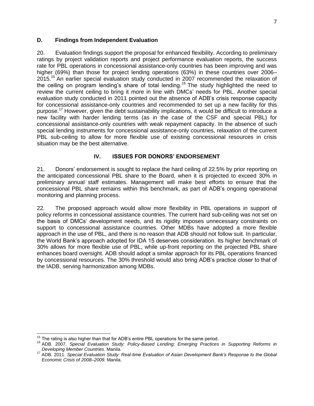#### <span id="page-10-0"></span>**D. Findings from Independent Evaluation**

20. Evaluation findings support the proposal for enhanced flexibility. According to preliminary ratings by project validation reports and project performance evaluation reports, the success rate for PBL operations in concessional assistance-only countries has been improving and was higher (69%) than those for project lending operations (63%) in these countries over 2006– 2015.<sup>15</sup> An earlier special evaluation study conducted in 2007 recommended the relaxation of the ceiling on program lending's share of total lending.<sup>16</sup> The study highlighted the need to review the current ceiling to bring it more in line with DMCs' needs for PBL. Another special evaluation study conducted in 2011 pointed out the absence of ADB's crisis response capacity for concessional assistance-only countries and recommended to set up a new facility for this purpose.<sup>17</sup> However, given the debt sustainability implications, it would be difficult to introduce a new facility with harder lending terms (as in the case of the CSF and special PBL) for concessional assistance-only countries with weak repayment capacity. In the absence of such special lending instruments for concessional assistance-only countries, relaxation of the current PBL sub-ceiling to allow for more flexible use of existing concessional resources in crisis situation may be the best alternative.

# **IV. ISSUES FOR DONORS' ENDORSEMENT**

<span id="page-10-1"></span>21. Donors' endorsement is sought to replace the hard ceiling of 22.5% by prior reporting on the anticipated concessional PBL share to the Board, when it is projected to exceed 30% in preliminary annual staff estimates. Management will make best efforts to ensure that the concessional PBL share remains within this benchmark, as part of ADB's ongoing operational monitoring and planning process.

22. The proposed approach would allow more flexibility in PBL operations in support of policy reforms in concessional assistance countries. The current hard sub-ceiling was not set on the basis of DMCs' development needs, and its rigidity imposes unnecessary constraints on support to concessional assistance countries. Other MDBs have adopted a more flexible approach in the use of PBL, and there is no reason that ADB should not follow suit. In particular, the World Bank's approach adopted for IDA 15 deserves consideration. Its higher benchmark of 30% allows for more flexible use of PBL, while up-front reporting on the projected PBL share enhances board oversight. ADB should adopt a similar approach for its PBL operations financed by concessional resources. The 30% threshold would also bring ADB's practice closer to that of the IADB, serving harmonization among MDBs.

 <sup>15</sup> The rating is also higher than that for ADB's entire PBL operations for the same period.

<sup>16</sup> ADB. 2007. *Special Evaluation Study: Policy-Based Lending: Emerging Practices in Supporting Reforms in Developing Member Countries*. Manila.

<sup>17</sup> ADB. 2011. *Special Evaluation Study: Real-time Evaluation of Asian Development Bank's Response to the Global Economic Crisis of 2008–2009.* Manila.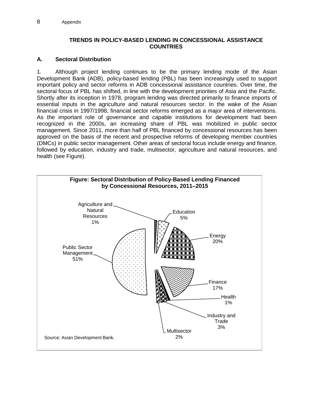### **TRENDS IN POLICY-BASED LENDING IN CONCESSIONAL ASSISTANCE COUNTRIES**

# <span id="page-11-0"></span>**A. Sectoral Distribution**

1. Although project lending continues to be the primary lending mode of the Asian Development Bank (ADB), policy-based lending (PBL) has been increasingly used to support important policy and sector reforms in ADB concessional assistance countries. Over time, the sectoral focus of PBL has shifted, in line with the development priorities of Asia and the Pacific. Shortly after its inception in 1978, program lending was directed primarily to finance imports of essential inputs in the agriculture and natural resources sector. In the wake of the Asian financial crisis in 1997/1998, financial sector reforms emerged as a major area of interventions. As the important role of governance and capable institutions for development had been recognized in the 2000s, an increasing share of PBL was mobilized in public sector management. Since 2011, more than half of PBL financed by concessional resources has been approved on the basis of the recent and prospective reforms of developing member countries (DMCs) in public sector management. Other areas of sectoral focus include energy and finance, followed by education, industry and trade, multisector, agriculture and natural resources, and health (see Figure).

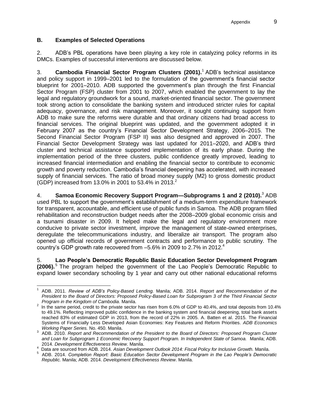# **B. Examples of Selected Operations**

2. ADB's PBL operations have been playing a key role in catalyzing policy reforms in its DMCs. Examples of successful interventions are discussed below.

3. **Cambodia Financial Sector Program Clusters (2001).**<sup>1</sup> ADB's technical assistance and policy support in 1999–2001 led to the formulation of the government's financial sector blueprint for 2001–2010. ADB supported the government's plan through the first Financial Sector Program (FSP) cluster from 2001 to 2007, which enabled the government to lay the legal and regulatory groundwork for a sound, market-oriented financial sector. The government took strong action to consolidate the banking system and introduced stricter rules for capital adequacy, governance, and risk management. Moreover, it sought continuing support from ADB to make sure the reforms were durable and that ordinary citizens had broad access to financial services. The original blueprint was updated, and the government adopted it in February 2007 as the country's Financial Sector Development Strategy, 2006–2015. The Second Financial Sector Program (FSP II) was also designed and approved in 2007. The Financial Sector Development Strategy was last updated for 2011–2020, and ADB's third cluster and technical assistance supported implementation of its early phase. During the implementation period of the three clusters, public confidence greatly improved, leading to increased financial intermediation and enabling the financial sector to contribute to economic growth and poverty reduction. Cambodia's financial deepening has accelerated, with increased supply of financial services. The ratio of broad money supply (M2) to gross domestic product (GDP) increased from 13.0% in 2001 to 53.4% in 2013.<sup>2</sup>

4. **Samoa Economic Recovery Support Program—Subprograms 1 and 2 (2010).**<sup>3</sup> ADB used PBL to support the government's establishment of a medium-term expenditure framework for transparent, accountable, and efficient use of public funds in Samoa. The ADB program filled rehabilitation and reconstruction budget needs after the 2008–2009 global economic crisis and a tsunami disaster in 2009. It helped make the legal and regulatory environment more conducive to private sector investment, improve the management of state-owned enterprises, deregulate the telecommunications industry, and liberalize air transport. The program also opened up official records of government contracts and performance to public scrutiny. The country's GDP growth rate recovered from  $-5.6\%$  in 2009 to 2.7% in 2012.<sup>4</sup>

5. **Lao People's Democratic Republic Basic Education Sector Development Program (2006).** The program helped the government of the Lao People's Democratic Republic to expand lower secondary schooling by 1 year and carry out other national educational reforms

 1 ADB. 2011. *Review of ADB's Policy-Based Lending.* Manila; ADB. 2014. *Report and Recommendation of the President to the Board of Directors: Proposed Policy-Based Loan for Subprogram 3 of the Third Financial Sector Program in the Kingdom of Cambodia*. Manila.

 $2$  In the same period, credit to the private sector has risen from 6.0% of GDP to 40.4%, and total deposits from 10.4% to 49.1%. Reflecting improved public confidence in the banking system and financial deepening, total bank assets reached 83% of estimated GDP in 2013, from the record of 22% in 2005. A. Batten et al. 2015. The Financial Systems of Financially Less Developed Asian Economies: Key Features and Reform Priorities. *ADB Economics Working Paper Series.* No. 450. Manila.

<sup>3</sup> ADB. 2010. *Report and Recommendation of the President to the Board of Directors: Proposed Program Cluster and Loan for Subprogram 1 Economic Recovery Support Program. In Independent State of Samoa.* Manila; ADB. 2014. *Development Effectiveness Review*. Manila.

<sup>4</sup> Data are sourced from ADB. 2014. *Asian Development Outlook 2014: Fiscal Policy for Inclusive Growth.* Manila.

<sup>5</sup> ADB. 2014. *Completion Report: Basic Education Sector Development Program in the Lao People's Democratic Republic.* Manila; ADB. 2014. *Development Effectiveness Review*. Manila.